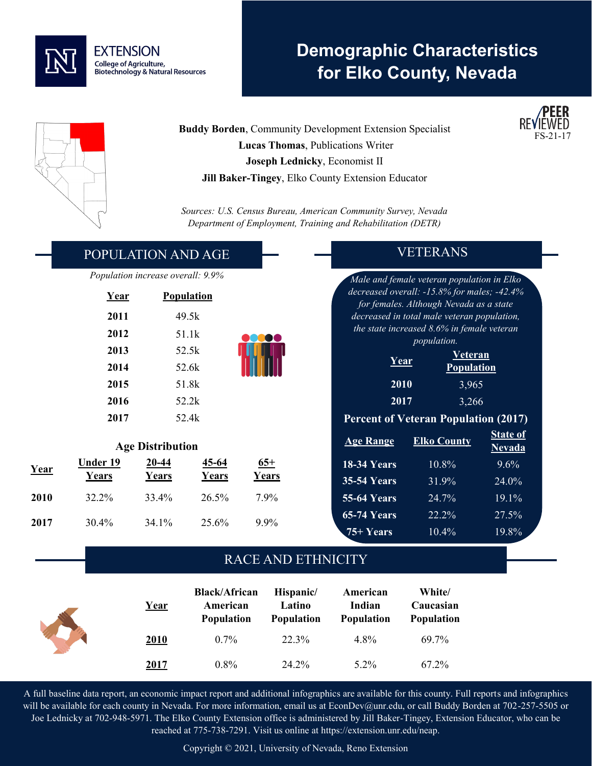

# **Demographic Characteristics for Elko County, Nevada**



**Year Under 19** 

**Years**

**Buddy Borden**, Community Development Extension Specialist  **Lucas Thomas**, Publications Writer **Joseph Lednicky**, Economist II **Jill Baker-Tingey**, Elko County Extension Educator

*Sources: U.S. Census Bureau, American Community Survey, Nevada Department of Employment, Training and Rehabilitation (DETR)*

#### POPULATION AND AGE

*Population increase overall: 9.9%*

| Year | <b>Population</b> |
|------|-------------------|
| 2011 | 49.5k             |
| 2012 | 51.1k             |
| 2013 | 52.5k             |
| 2014 | 52.6k             |
| 2015 | 51.8k             |
| 2016 | 52.2k             |
| 2017 | 52.4k             |

**Age Distribution**

**20-44 Years**

**2010** 32.2% 33.4% 26.5% 7.9%

**2017** 30.4% 34.1% 25.6% 9.9%

**45-64 Years**

**65+ Years**

### VETERANS

*Male and female veteran population in Elko decreased overall: -15.8% for males; -42.4% for females. Although Nevada as a state decreased in total male veteran population, the state increased 8.6% in female veteran population.*

| <u>Year</u> | <b>Veteran</b><br><b>Population</b> |
|-------------|-------------------------------------|
| 2010        | 3,965                               |
| 2017        | 3,266                               |

#### **Percent of Veteran Population (2017)**

| <b>Age Range</b>   | <b>Elko County</b> | <b>State of</b><br><b>Nevada</b> |
|--------------------|--------------------|----------------------------------|
| <b>18-34 Years</b> | 10.8%              | 9.6%                             |
| <b>35-54 Years</b> | 31.9%              | 24.0%                            |
| <b>55-64 Years</b> | 24.7%              | 19.1%                            |
| <b>65-74 Years</b> | 22.2%              | 27.5%                            |
| 75+ Years          | $10.4\%$           | 19.8%                            |

#### RACE AND ETHNICITY

| Year | <b>Black/African</b><br>American<br><b>Population</b> | Hispanic/<br>Latino<br><b>Population</b> | American<br>Indian<br><b>Population</b> | White/<br>Caucasian<br><b>Population</b> |
|------|-------------------------------------------------------|------------------------------------------|-----------------------------------------|------------------------------------------|
| 2010 | $0.7\%$                                               | 22.3%                                    | 4.8%                                    | 69.7%                                    |
| 2017 | $0.8\%$                                               | 24.2%                                    | $5.2\%$                                 | 67.2%                                    |

A full baseline data report, an economic impact report and additional infographics are available for this county. Full reports and infographics will be available for each county in Nevada. For more information, email us at EconDev@unr.edu, or call Buddy Borden at 702-257-5505 or Joe Lednicky at 702-948-5971. The Elko County Extension office is administered by Jill Baker-Tingey, Extension Educator, who can be reached at 775-738-7291. Visit us online at https://extension.unr.edu/neap.

Copyright © 2021, University of Nevada, Reno Extension